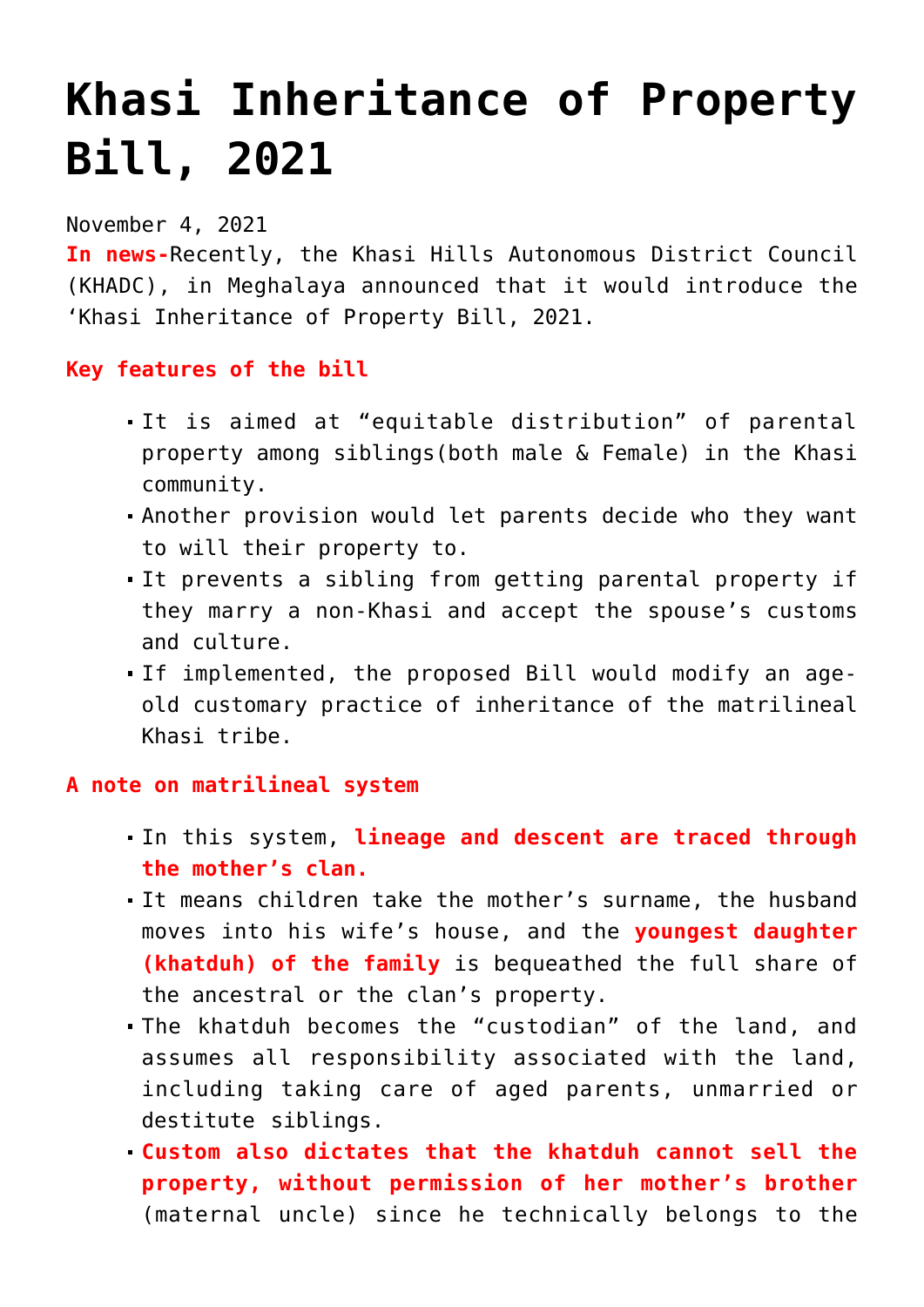# **[Khasi Inheritance of Property](https://journalsofindia.com/khasi-inheritance-of-property-bill-2021/) [Bill, 2021](https://journalsofindia.com/khasi-inheritance-of-property-bill-2021/)**

## November 4, 2021

**In news-**Recently, the Khasi Hills Autonomous District Council (KHADC), in Meghalaya announced that it would introduce the 'Khasi Inheritance of Property Bill, 2021.

### **Key features of the bill**

- It is aimed at "equitable distribution" of parental property among siblings(both male & Female) in the Khasi community.
- Another provision would let parents decide who they want to will their property to.
- It prevents a sibling from getting parental property if they marry a non-Khasi and accept the spouse's customs and culture.
- If implemented, the proposed Bill would modify an ageold customary practice of inheritance of the matrilineal Khasi tribe.

#### **A note on matrilineal system**

- In this system, **lineage and descent are traced through the mother's clan.**
- It means children take the mother's surname, the husband moves into his wife's house, and the **youngest daughter (khatduh) of the family** is bequeathed the full share of the ancestral or the clan's property.
- The khatduh becomes the "custodian" of the land, and assumes all responsibility associated with the land, including taking care of aged parents, unmarried or destitute siblings.
- **Custom also dictates that the khatduh cannot sell the property, without permission of her mother's brother** (maternal uncle) since he technically belongs to the